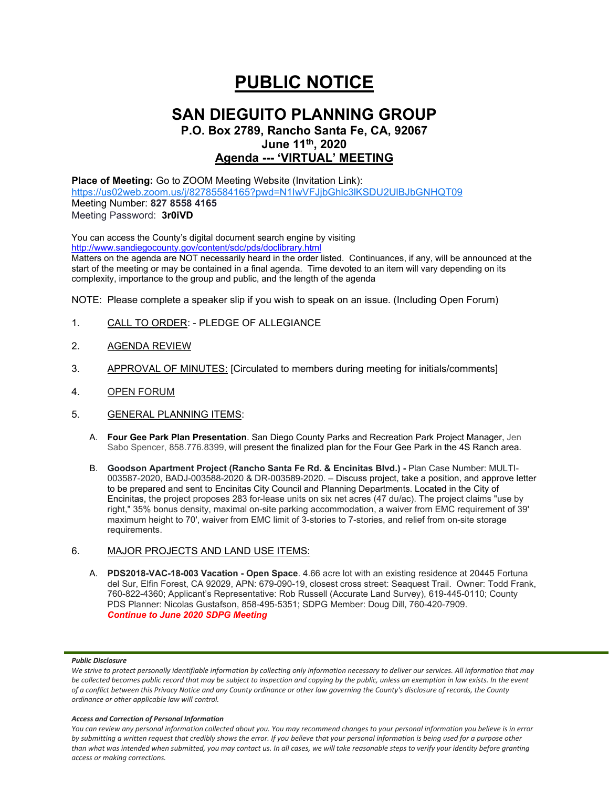# **PUBLIC NOTICE**

## **SAN DIEGUITO PLANNING GROUP**

## **P.O. Box 2789, Rancho Santa Fe, CA, 92067 June 11th, 2020 Agenda --- 'VIRTUAL' MEETING**

**Place of Meeting:** Go to ZOOM Meeting Website (Invitation Link): <https://us02web.zoom.us/j/82785584165?pwd=N1IwVFJjbGhlc3lKSDU2UlBJbGNHQT09> Meeting Number: **827 8558 4165** Meeting Password: **3r0iVD**

You can access the County's digital document search engine by visiting <http://www.sandiegocounty.gov/content/sdc/pds/doclibrary.html>

Matters on the agenda are NOT necessarily heard in the order listed. Continuances, if any, will be announced at the start of the meeting or may be contained in a final agenda. Time devoted to an item will vary depending on its complexity, importance to the group and public, and the length of the agenda

NOTE: Please complete a speaker slip if you wish to speak on an issue. (Including Open Forum)

- 1. CALL TO ORDER: PLEDGE OF ALLEGIANCE
- 2. AGENDA REVIEW
- 3. APPROVAL OF MINUTES: [Circulated to members during meeting for initials/comments]
- 4. OPEN FORUM
- 5. GENERAL PLANNING ITEMS:
	- A. **Four Gee Park Plan Presentation**. San Diego County Parks and Recreation Park Project Manager, Jen Sabo Spencer, 858.776.8399, will present the finalized plan for the Four Gee Park in the 4S Ranch area.
	- B. **Goodson Apartment Project (Rancho Santa Fe Rd. & Encinitas Blvd.) -** Plan Case Number: MULTI-003587-2020, BADJ-003588-2020 & DR-003589-2020. – Discuss project, take a position, and approve letter to be prepared and sent to Encinitas City Council and Planning Departments. Located in the City of Encinitas, the project proposes 283 for-lease units on six net acres (47 du/ac). The project claims "use by right," 35% bonus density, maximal on-site parking accommodation, a waiver from EMC requirement of 39' maximum height to 70', waiver from EMC limit of 3-stories to 7-stories, and relief from on-site storage requirements.

## 6. MAJOR PROJECTS AND LAND USE ITEMS:

A. **PDS2018-VAC-18-003 Vacation - Open Space**. 4.66 acre lot with an existing residence at 20445 Fortuna del Sur, Elfin Forest, CA 92029, APN: 679-090-19, closest cross street: Seaquest Trail. Owner: Todd Frank, 760-822-4360; Applicant's Representative: Rob Russell (Accurate Land Survey), 619-445-0110; County PDS Planner: Nicolas Gustafson, 858-495-5351; SDPG Member: Doug Dill, 760-420-7909. *Continue to June 2020 SDPG Meeting*

## *Public Disclosure*

### *Access and Correction of Personal Information*

*You can review any personal information collected about you. You may recommend changes to your personal information you believe is in error by submitting a written request that credibly shows the error. If you believe that your personal information is being used for a purpose other than what was intended when submitted, you may contact us. In all cases, we will take reasonable steps to verify your identity before granting access or making corrections.*

We strive to protect personally identifiable information by collecting only information necessary to deliver our services. All information that may *be collected becomes public record that may be subject to inspection and copying by the public, unless an exemption in law exists. In the event of a conflict between this Privacy Notice and any County ordinance or other law governing the County's disclosure of records, the County ordinance or other applicable law will control.*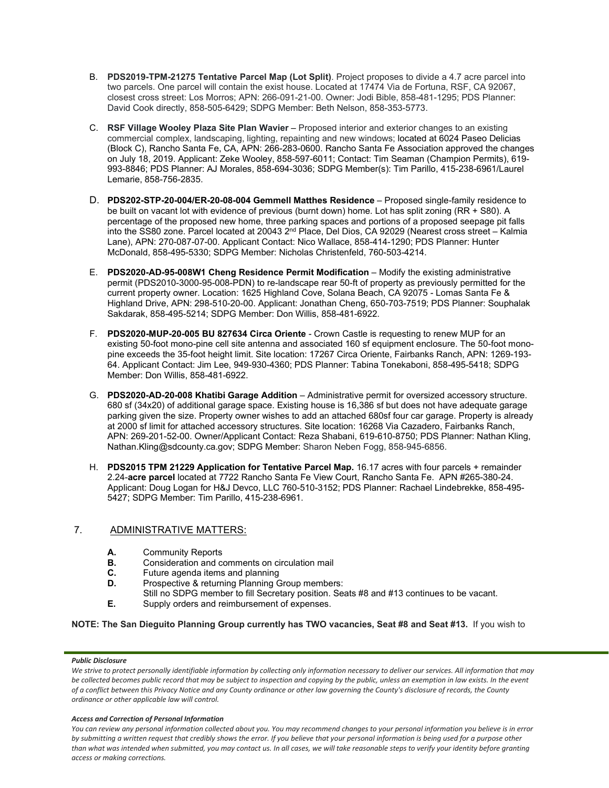- B. **PDS2019-TPM-21275 Tentative Parcel Map (Lot Split)**. Project proposes to divide a 4.7 acre parcel into two parcels. One parcel will contain the exist house. Located at 17474 Via de Fortuna, RSF, CA 92067, closest cross street: Los Morros; APN: 266-091-21-00. Owner: Jodi Bible, 858-481-1295; PDS Planner: David Cook directly, 858-505-6429; SDPG Member: Beth Nelson, 858-353-5773.
- C. **RSF Village Wooley Plaza Site Plan Wavier** Proposed interior and exterior changes to an existing commercial complex, landscaping, lighting, repainting and new windows; located at 6024 Paseo Delicias (Block C), Rancho Santa Fe, CA, APN: 266-283-0600. Rancho Santa Fe Association approved the changes on July 18, 2019. Applicant: Zeke Wooley, 858-597-6011; Contact: Tim Seaman (Champion Permits), 619- 993-8846; PDS Planner: AJ Morales, 858-694-3036; SDPG Member(s): Tim Parillo, 415-238-6961/Laurel Lemarie, 858-756-2835.
- D. **PDS202-STP-20-004/ER-20-08-004 Gemmell Matthes Residence** Proposed single-family residence to be built on vacant lot with evidence of previous (burnt down) home. Lot has split zoning (RR + S80). A percentage of the proposed new home, three parking spaces and portions of a proposed seepage pit falls into the SS80 zone. Parcel located at 20043 2<sup>nd</sup> Place, Del Dios, CA 92029 (Nearest cross street – Kalmia Lane), APN: 270-087-07-00. Applicant Contact: Nico Wallace, 858-414-1290; PDS Planner: Hunter McDonald, 858-495-5330; SDPG Member: Nicholas Christenfeld, 760-503-4214.
- E. **PDS2020-AD-95-008W1 Cheng Residence Permit Modification** Modify the existing administrative permit (PDS2010-3000-95-008-PDN) to re-landscape rear 50-ft of property as previously permitted for the current property owner. Location: 1625 Highland Cove, Solana Beach, CA 92075 - Lomas Santa Fe & Highland Drive, APN: 298-510-20-00. Applicant: Jonathan Cheng, 650-703-7519; PDS Planner: Souphalak Sakdarak, 858-495-5214; SDPG Member: Don Willis, 858-481-6922.
- F. **PDS2020-MUP-20-005 BU 827634 Circa Oriente** Crown Castle is requesting to renew MUP for an existing 50-foot mono-pine cell site antenna and associated 160 sf equipment enclosure. The 50-foot monopine exceeds the 35-foot height limit. Site location: 17267 Circa Oriente, Fairbanks Ranch, APN: 1269-193- 64. Applicant Contact: Jim Lee, 949-930-4360; PDS Planner: Tabina Tonekaboni, 858-495-5418; SDPG Member: Don Willis, 858-481-6922.
- G. **PDS2020-AD-20-008 Khatibi Garage Addition** Administrative permit for oversized accessory structure. 680 sf (34x20) of additional garage space. Existing house is 16,386 sf but does not have adequate garage parking given the size. Property owner wishes to add an attached 680sf four car garage. Property is already at 2000 sf limit for attached accessory structures. Site location: 16268 Via Cazadero, Fairbanks Ranch, APN: 269-201-52-00. Owner/Applicant Contact: Reza Shabani, 619-610-8750; PDS Planner: Nathan Kling, Nathan.Kling@sdcounty.ca.gov; SDPG Member: Sharon Neben Fogg, 858-945-6856.
- H. **PDS2015 TPM 21229 Application for Tentative Parcel Map.** 16.17 acres with four parcels + remainder 2.24-**acre parcel** located at 7722 Rancho Santa Fe View Court, Rancho Santa Fe. APN #265-380-24. Applicant: Doug Logan for H&J Devco, LLC 760-510-3152; PDS Planner: Rachael Lindebrekke, 858-495- 5427; SDPG Member: Tim Parillo, 415-238-6961.

## 7. ADMINISTRATIVE MATTERS:

- **A.** Community Reports<br>**B.** Consideration and com-
- **B.** Consideration and comments on circulation mail<br>**C.** Future agenda items and planning
- **C.** Future agenda items and planning<br>**D.** Prospective & returning Planning G.
- Prospective & returning Planning Group members:
- Still no SDPG member to fill Secretary position. Seats #8 and #13 continues to be vacant.
- **E.** Supply orders and reimbursement of expenses.

**NOTE: The San Dieguito Planning Group currently has TWO vacancies, Seat #8 and Seat #13.** If you wish to

## *Public Disclosure*

### *Access and Correction of Personal Information*

*You can review any personal information collected about you. You may recommend changes to your personal information you believe is in error by submitting a written request that credibly shows the error. If you believe that your personal information is being used for a purpose other than what was intended when submitted, you may contact us. In all cases, we will take reasonable steps to verify your identity before granting access or making corrections.*

We strive to protect personally identifiable information by collecting only information necessary to deliver our services. All information that may *be collected becomes public record that may be subject to inspection and copying by the public, unless an exemption in law exists. In the event of a conflict between this Privacy Notice and any County ordinance or other law governing the County's disclosure of records, the County ordinance or other applicable law will control.*